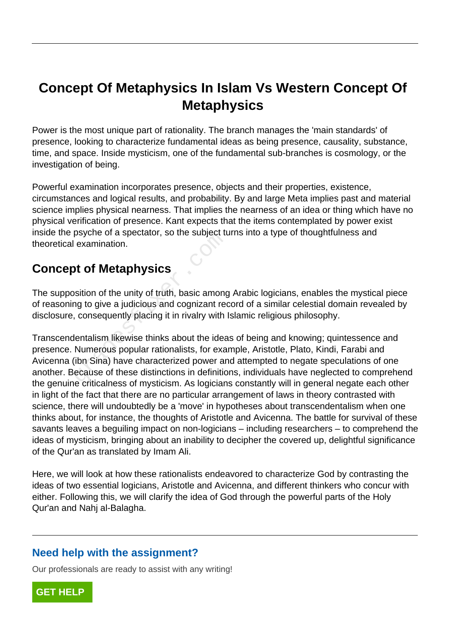# **Concept Of Metaphysics In Islam Vs Western Concept Of Metaphysics**

Power is the most unique part of rationality. The branch manages the 'main standards' of presence, looking to characterize fundamental ideas as being presence, causality, substance, time, and space. Inside mysticism, one of the fundamental sub-branches is cosmology, or the investigation of being.

Powerful examination incorporates presence, objects and their properties, existence, circumstances and logical results, and probability. By and large Meta implies past and material science implies physical nearness. That implies the nearness of an idea or thing which have no physical verification of presence. Kant expects that the items contemplated by power exist inside the psyche of a spectator, so the subject turns into a type of thoughtfulness and theoretical examination.

# **Concept of Metaphysics**

The supposition of the unity of truth, basic among Arabic logicians, enables the mystical piece of reasoning to give a judicious and cognizant record of a similar celestial domain revealed by disclosure, consequently placing it in rivalry with Islamic religious philosophy.

Transcendentalism likewise thinks about the ideas of being and knowing; quintessence and presence. Numerous popular rationalists, for example, Aristotle, Plato, Kindi, Farabi and Avicenna (ibn Sina) have characterized power and attempted to negate speculations of one another. Because of these distinctions in definitions, individuals have neglected to comprehend the genuine criticalness of mysticism. As logicians constantly will in general negate each other in light of the fact that there are no particular arrangement of laws in theory contrasted with science, there will undoubtedly be a 'move' in hypotheses about transcendentalism when one thinks about, for instance, the thoughts of Aristotle and Avicenna. The battle for survival of these savants leaves a beguiling impact on non-logicians – including researchers – to comprehend the ideas of mysticism, bringing about an inability to decipher the covered up, delightful significance of the Qur'an as translated by Imam Ali. psyche of a spectator, so the subject it<br>examination.<br>**of Metaphysics**<br>sition of the unity of truth, basic among<br>ng to give a judicious and cognizant red<br>consequently placing it in rivalry with lentalism likewise thinks ab

Here, we will look at how these rationalists endeavored to characterize God by contrasting the ideas of two essential logicians, Aristotle and Avicenna, and different thinkers who concur with either. Following this, we will clarify the idea of God through the powerful parts of the Holy Qur'an and Nahj al-Balagha.

#### **Need help with the assignment?**

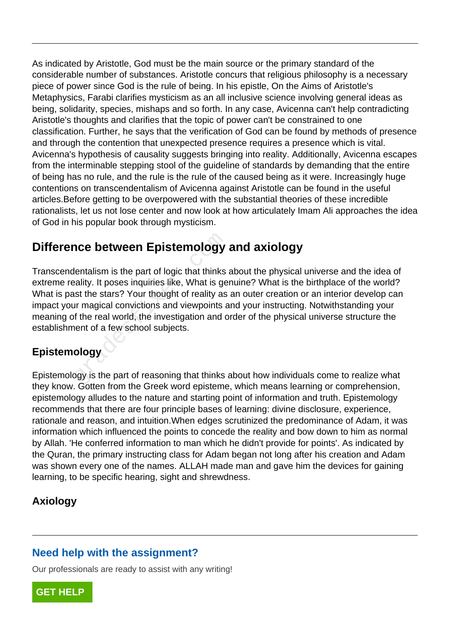As indicated by Aristotle, God must be the main source or the primary standard of the considerable number of substances. Aristotle concurs that religious philosophy is a necessary piece of power since God is the rule of being. In his epistle, On the Aims of Aristotle's Metaphysics, Farabi clarifies mysticism as an all inclusive science involving general ideas as being, solidarity, species, mishaps and so forth. In any case, Avicenna can't help contradicting Aristotle's thoughts and clarifies that the topic of power can't be constrained to one classification. Further, he says that the verification of God can be found by methods of presence and through the contention that unexpected presence requires a presence which is vital. Avicenna's hypothesis of causality suggests bringing into reality. Additionally, Avicenna escapes from the interminable stepping stool of the guideline of standards by demanding that the entire of being has no rule, and the rule is the rule of the caused being as it were. Increasingly huge contentions on transcendentalism of Avicenna against Aristotle can be found in the useful articles.Before getting to be overpowered with the substantial theories of these incredible rationalists, let us not lose center and now look at how articulately Imam Ali approaches the idea of God in his popular book through mysticism.

# **Difference between Epistemology and axiology**

Transcendentalism is the part of logic that thinks about the physical universe and the idea of extreme reality. It poses inquiries like, What is genuine? What is the birthplace of the world? What is past the stars? Your thought of reality as an outer creation or an interior develop can impact your magical convictions and viewpoints and your instructing. Notwithstanding your meaning of the real world, the investigation and order of the physical universe structure the establishment of a few school subjects. **nce between Epistemology**<br>
lentalism is the part of logic that thinks<br>
sality. It poses inquiries like, What is ge<br>
st the stars? Your thought of reality as<br>
ur magical convictions and viewpoints as<br>
of the real world, th

### **Epistemology**

Epistemology is the part of reasoning that thinks about how individuals come to realize what they know. Gotten from the Greek word episteme, which means learning or comprehension, epistemology alludes to the nature and starting point of information and truth. Epistemology recommends that there are four principle bases of learning: divine disclosure, experience, rationale and reason, and intuition.When edges scrutinized the predominance of Adam, it was information which influenced the points to concede the reality and bow down to him as normal by Allah. 'He conferred information to man which he didn't provide for points'. As indicated by the Quran, the primary instructing class for Adam began not long after his creation and Adam was shown every one of the names. ALLAH made man and gave him the devices for gaining learning, to be specific hearing, sight and shrewdness.

### **Axiology**

### **Need help with the assignment?**

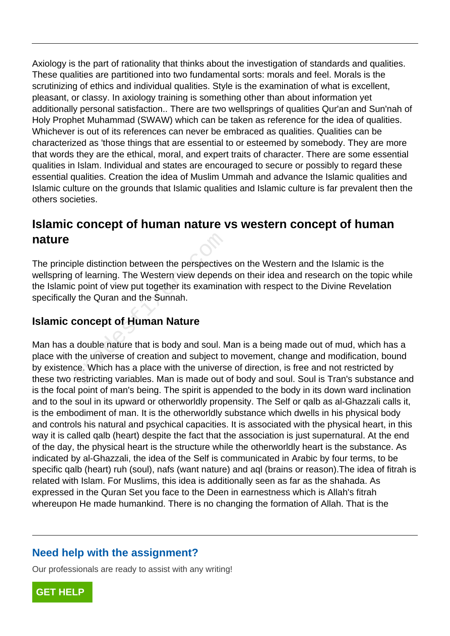Axiology is the part of rationality that thinks about the investigation of standards and qualities. These qualities are partitioned into two fundamental sorts: morals and feel. Morals is the scrutinizing of ethics and individual qualities. Style is the examination of what is excellent, pleasant, or classy. In axiology training is something other than about information yet additionally personal satisfaction.. There are two wellsprings of qualities Qur'an and Sun'nah of Holy Prophet Muhammad (SWAW) which can be taken as reference for the idea of qualities. Whichever is out of its references can never be embraced as qualities. Qualities can be characterized as 'those things that are essential to or esteemed by somebody. They are more that words they are the ethical, moral, and expert traits of character. There are some essential qualities in Islam. Individual and states are encouraged to secure or possibly to regard these essential qualities. Creation the idea of Muslim Ummah and advance the Islamic qualities and Islamic culture on the grounds that Islamic qualities and Islamic culture is far prevalent then the others societies.

# **Islamic concept of human nature vs western concept of human nature**

The principle distinction between the perspectives on the Western and the Islamic is the wellspring of learning. The Western view depends on their idea and research on the topic while the Islamic point of view put together its examination with respect to the Divine Revelation specifically the Quran and the Sunnah.

### **Islamic concept of Human Nature**

Man has a double nature that is body and soul. Man is a being made out of mud, which has a place with the universe of creation and subject to movement, change and modification, bound by existence. Which has a place with the universe of direction, is free and not restricted by these two restricting variables. Man is made out of body and soul. Soul is Tran's substance and is the focal point of man's being. The spirit is appended to the body in its down ward inclination and to the soul in its upward or otherworldly propensity. The Self or qalb as al-Ghazzali calls it, is the embodiment of man. It is the otherworldly substance which dwells in his physical body and controls his natural and psychical capacities. It is associated with the physical heart, in this way it is called qalb (heart) despite the fact that the association is just supernatural. At the end of the day, the physical heart is the structure while the otherworldly heart is the substance. As indicated by al-Ghazzali, the idea of the Self is communicated in Arabic by four terms, to be specific qalb (heart) ruh (soul), nafs (want nature) and aql (brains or reason).The idea of fitrah is related with Islam. For Muslims, this idea is additionally seen as far as the shahada. As expressed in the Quran Set you face to the Deen in earnestness which is Allah's fitrah whereupon He made humankind. There is no changing the formation of Allah. That is the ble distinction between the perspective<br>of learning. The Western view depend<br>c point of view put together its examina<br>the Quran and the Sunnah.<br>**concept of Human Nature**<br>double nature that is body and soul. N<br>the universe

#### **Need help with the assignment?**

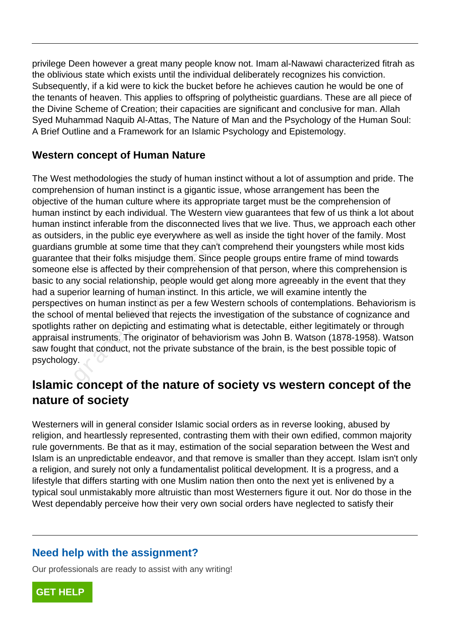privilege Deen however a great many people know not. Imam al-Nawawi characterized fitrah as the oblivious state which exists until the individual deliberately recognizes his conviction. Subsequently, if a kid were to kick the bucket before he achieves caution he would be one of the tenants of heaven. This applies to offspring of polytheistic guardians. These are all piece of the Divine Scheme of Creation; their capacities are significant and conclusive for man. Allah Syed Muhammad Naquib Al-Attas, The Nature of Man and the Psychology of the Human Soul: A Brief Outline and a Framework for an Islamic Psychology and Epistemology.

#### **Western concept of Human Nature**

The West methodologies the study of human instinct without a lot of assumption and pride. The comprehension of human instinct is a gigantic issue, whose arrangement has been the objective of the human culture where its appropriate target must be the comprehension of human instinct by each individual. The Western view guarantees that few of us think a lot about human instinct inferable from the disconnected lives that we live. Thus, we approach each other as outsiders, in the public eye everywhere as well as inside the tight hover of the family. Most guardians grumble at some time that they can't comprehend their youngsters while most kids guarantee that their folks misjudge them. Since people groups entire frame of mind towards someone else is affected by their comprehension of that person, where this comprehension is basic to any social relationship, people would get along more agreeably in the event that they had a superior learning of human instinct. In this article, we will examine intently the perspectives on human instinct as per a few Western schools of contemplations. Behaviorism is the school of mental believed that rejects the investigation of the substance of cognizance and spotlights rather on depicting and estimating what is detectable, either legitimately or through appraisal instruments. The originator of behaviorism was John B. Watson (1878-1958). Watson saw fought that conduct, not the private substance of the brain, is the best possible topic of psychology. rs, in the public eye everywhere as well grumble at some time that they can't c<br>that their folks misjudge them. Since p<br>else is affected by their comprehension<br>ny social relationship, people would get<br>erior learning of hum

### **Islamic concept of the nature of society vs western concept of the nature of society**

Westerners will in general consider Islamic social orders as in reverse looking, abused by religion, and heartlessly represented, contrasting them with their own edified, common majority rule governments. Be that as it may, estimation of the social separation between the West and Islam is an unpredictable endeavor, and that remove is smaller than they accept. Islam isn't only a religion, and surely not only a fundamentalist political development. It is a progress, and a lifestyle that differs starting with one Muslim nation then onto the next yet is enlivened by a typical soul unmistakably more altruistic than most Westerners figure it out. Nor do those in the West dependably perceive how their very own social orders have neglected to satisfy their

#### **Need help with the assignment?**

Our professionals are ready to assist with any writing!

**[GET HELP](https://my.gradesfixer.com/order?utm_campaign=pdf_sample)**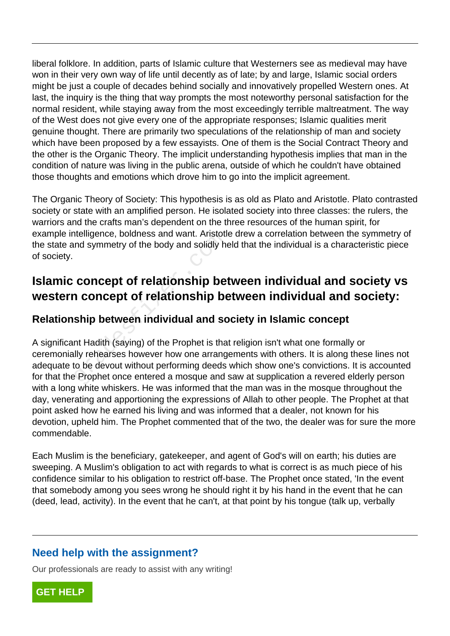liberal folklore. In addition, parts of Islamic culture that Westerners see as medieval may have won in their very own way of life until decently as of late; by and large, Islamic social orders might be just a couple of decades behind socially and innovatively propelled Western ones. At last, the inquiry is the thing that way prompts the most noteworthy personal satisfaction for the normal resident, while staying away from the most exceedingly terrible maltreatment. The way of the West does not give every one of the appropriate responses; Islamic qualities merit genuine thought. There are primarily two speculations of the relationship of man and society which have been proposed by a few essayists. One of them is the Social Contract Theory and the other is the Organic Theory. The implicit understanding hypothesis implies that man in the condition of nature was living in the public arena, outside of which he couldn't have obtained those thoughts and emotions which drove him to go into the implicit agreement.

The Organic Theory of Society: This hypothesis is as old as Plato and Aristotle. Plato contrasted society or state with an amplified person. He isolated society into three classes: the rulers, the warriors and the crafts man's dependent on the three resources of the human spirit, for example intelligence, boldness and want. Aristotle drew a correlation between the symmetry of the state and symmetry of the body and solidly held that the individual is a characteristic piece of society.

# **Islamic concept of relationship between individual and society vs western concept of relationship between individual and society:**

#### **Relationship between individual and society in Islamic concept**

A significant Hadith (saying) of the Prophet is that religion isn't what one formally or ceremonially rehearses however how one arrangements with others. It is along these lines not adequate to be devout without performing deeds which show one's convictions. It is accounted for that the Prophet once entered a mosque and saw at supplication a revered elderly person with a long white whiskers. He was informed that the man was in the mosque throughout the day, venerating and apportioning the expressions of Allah to other people. The Prophet at that point asked how he earned his living and was informed that a dealer, not known for his devotion, upheld him. The Prophet commented that of the two, the dealer was for sure the more commendable. Intelligence, boldness and want. Aristotical<br>Ind symmetry of the body and solidly he<br> **Concept of relationship be**<br> **Ship between individual and sconting the Ship between individual and sconting the Ship between individual** 

Each Muslim is the beneficiary, gatekeeper, and agent of God's will on earth; his duties are sweeping. A Muslim's obligation to act with regards to what is correct is as much piece of his confidence similar to his obligation to restrict off-base. The Prophet once stated, 'In the event that somebody among you sees wrong he should right it by his hand in the event that he can (deed, lead, activity). In the event that he can't, at that point by his tongue (talk up, verbally

### **Need help with the assignment?**

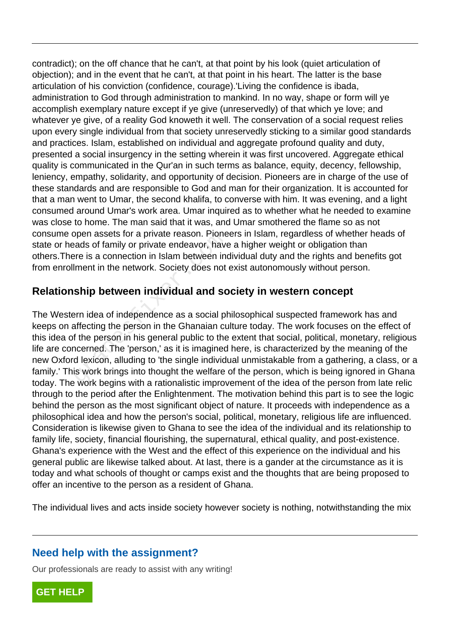contradict); on the off chance that he can't, at that point by his look (quiet articulation of objection); and in the event that he can't, at that point in his heart. The latter is the base articulation of his conviction (confidence, courage).'Living the confidence is ibada, administration to God through administration to mankind. In no way, shape or form will ye accomplish exemplary nature except if ye give (unreservedly) of that which ye love; and whatever ye give, of a reality God knoweth it well. The conservation of a social request relies upon every single individual from that society unreservedly sticking to a similar good standards and practices. Islam, established on individual and aggregate profound quality and duty, presented a social insurgency in the setting wherein it was first uncovered. Aggregate ethical quality is communicated in the Qur'an in such terms as balance, equity, decency, fellowship, leniency, empathy, solidarity, and opportunity of decision. Pioneers are in charge of the use of these standards and are responsible to God and man for their organization. It is accounted for that a man went to Umar, the second khalifa, to converse with him. It was evening, and a light consumed around Umar's work area. Umar inquired as to whether what he needed to examine was close to home. The man said that it was, and Umar smothered the flame so as not consume open assets for a private reason. Pioneers in Islam, regardless of whether heads of state or heads of family or private endeavor, have a higher weight or obligation than others.There is a connection in Islam between individual duty and the rights and benefits got from enrollment in the network. Society does not exist autonomously without person.

#### **Relationship between individual and society in western concept**

The Western idea of independence as a social philosophical suspected framework has and keeps on affecting the person in the Ghanaian culture today. The work focuses on the effect of this idea of the person in his general public to the extent that social, political, monetary, religious life are concerned. The 'person,' as it is imagined here, is characterized by the meaning of the new Oxford lexicon, alluding to 'the single individual unmistakable from a gathering, a class, or a family.' This work brings into thought the welfare of the person, which is being ignored in Ghana today. The work begins with a rationalistic improvement of the idea of the person from late relic through to the period after the Enlightenment. The motivation behind this part is to see the logic behind the person as the most significant object of nature. It proceeds with independence as a philosophical idea and how the person's social, political, monetary, religious life are influenced. Consideration is likewise given to Ghana to see the idea of the individual and its relationship to family life, society, financial flourishing, the supernatural, ethical quality, and post-existence. Ghana's experience with the West and the effect of this experience on the individual and his general public are likewise talked about. At last, there is a gander at the circumstance as it is today and what schools of thought or camps exist and the thoughts that are being proposed to offer an incentive to the person as a resident of Ghana. ppen assets for a private reason. Plone<br>ads of family or private endeavor, have<br>there is a connection in Islam between ind<br>lment in the network. Society does not<br>**ship between individual and scomediation**<br>arm idea of indep

The individual lives and acts inside society however society is nothing, notwithstanding the mix

#### **Need help with the assignment?**

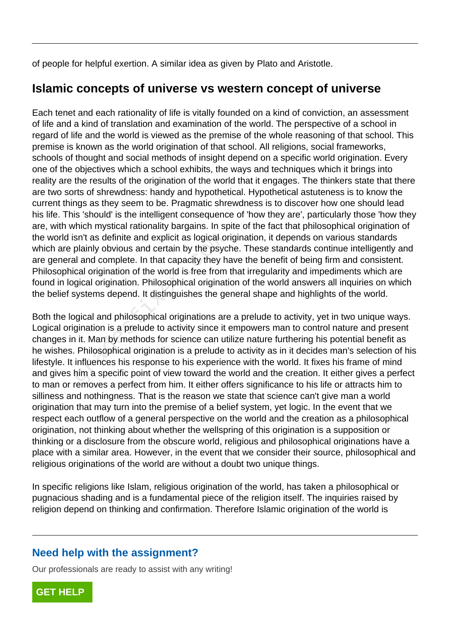of people for helpful exertion. A similar idea as given by Plato and Aristotle.

### **Islamic concepts of universe vs western concept of universe**

Each tenet and each rationality of life is vitally founded on a kind of conviction, an assessment of life and a kind of translation and examination of the world. The perspective of a school in regard of life and the world is viewed as the premise of the whole reasoning of that school. This premise is known as the world origination of that school. All religions, social frameworks, schools of thought and social methods of insight depend on a specific world origination. Every one of the objectives which a school exhibits, the ways and techniques which it brings into reality are the results of the origination of the world that it engages. The thinkers state that there are two sorts of shrewdness: handy and hypothetical. Hypothetical astuteness is to know the current things as they seem to be. Pragmatic shrewdness is to discover how one should lead his life. This 'should' is the intelligent consequence of 'how they are', particularly those 'how they are, with which mystical rationality bargains. In spite of the fact that philosophical origination of the world isn't as definite and explicit as logical origination, it depends on various standards which are plainly obvious and certain by the psyche. These standards continue intelligently and are general and complete. In that capacity they have the benefit of being firm and consistent. Philosophical origination of the world is free from that irregularity and impediments which are found in logical origination. Philosophical origination of the world answers all inquiries on which the belief systems depend. It distinguishes the general shape and highlights of the world.

Both the logical and philosophical originations are a prelude to activity, yet in two unique ways. Logical origination is a prelude to activity since it empowers man to control nature and present changes in it. Man by methods for science can utilize nature furthering his potential benefit as he wishes. Philosophical origination is a prelude to activity as in it decides man's selection of his lifestyle. It influences his response to his experience with the world. It fixes his frame of mind and gives him a specific point of view toward the world and the creation. It either gives a perfect to man or removes a perfect from him. It either offers significance to his life or attracts him to silliness and nothingness. That is the reason we state that science can't give man a world origination that may turn into the premise of a belief system, yet logic. In the event that we respect each outflow of a general perspective on the world and the creation as a philosophical origination, not thinking about whether the wellspring of this origination is a supposition or thinking or a disclosure from the obscure world, religious and philosophical originations have a place with a similar area. However, in the event that we consider their source, philosophical and religious originations of the world are without a doubt two unique things. sn't as definite and explicit as logical or<br>plainly obvious and certain by the psyc<br>al and complete. In that capacity they h<br>cal origination of the world is free from<br>gical origination. Philosophical originat<br>systems depen

In specific religions like Islam, religious origination of the world, has taken a philosophical or pugnacious shading and is a fundamental piece of the religion itself. The inquiries raised by religion depend on thinking and confirmation. Therefore Islamic origination of the world is

#### **Need help with the assignment?**